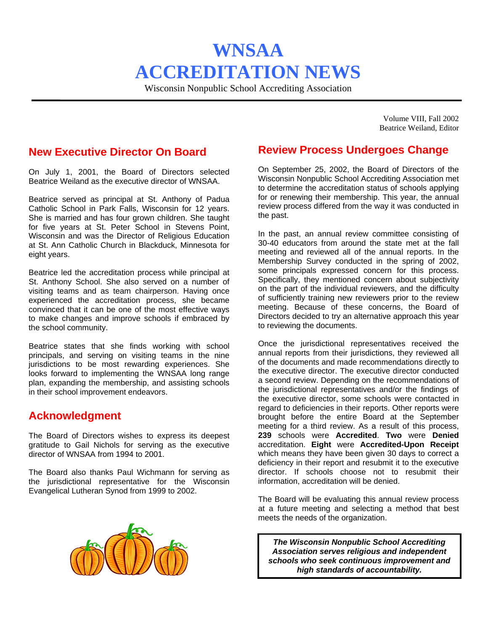# **WNSAA ACCREDITATION NEWS**

Wisconsin Nonpublic School Accrediting Association

Volume VIII, Fall 2002 Beatrice Weiland, Editor

#### **New Executive Director On Board**

On July 1, 2001, the Board of Directors selected Beatrice Weiland as the executive director of WNSAA.

Beatrice served as principal at St. Anthony of Padua Catholic School in Park Falls, Wisconsin for 12 years. She is married and has four grown children. She taught for five years at St. Peter School in Stevens Point, Wisconsin and was the Director of Religious Education at St. Ann Catholic Church in Blackduck, Minnesota for eight years.

Beatrice led the accreditation process while principal at St. Anthony School. She also served on a number of visiting teams and as team chairperson. Having once experienced the accreditation process, she became convinced that it can be one of the most effective ways to make changes and improve schools if embraced by the school community.

Beatrice states that she finds working with school principals, and serving on visiting teams in the nine jurisdictions to be most rewarding experiences. She looks forward to implementing the WNSAA long range plan, expanding the membership, and assisting schools in their school improvement endeavors.

#### **Acknowledgment**

The Board of Directors wishes to express its deepest gratitude to Gail Nichols for serving as the executive director of WNSAA from 1994 to 2001.

The Board also thanks Paul Wichmann for serving as the jurisdictional representative for the Wisconsin Evangelical Lutheran Synod from 1999 to 2002.



## **Review Process Undergoes Change**

On September 25, 2002, the Board of Directors of the Wisconsin Nonpublic School Accrediting Association met to determine the accreditation status of schools applying for or renewing their membership. This year, the annual review process differed from the way it was conducted in the past.

In the past, an annual review committee consisting of 30-40 educators from around the state met at the fall meeting and reviewed all of the annual reports. In the Membership Survey conducted in the spring of 2002, some principals expressed concern for this process. Specifically, they mentioned concern about subjectivity on the part of the individual reviewers, and the difficulty of sufficiently training new reviewers prior to the review meeting. Because of these concerns, the Board of Directors decided to try an alternative approach this year to reviewing the documents.

Once the jurisdictional representatives received the annual reports from their jurisdictions, they reviewed all of the documents and made recommendations directly to the executive director. The executive director conducted a second review. Depending on the recommendations of the jurisdictional representatives and/or the findings of the executive director, some schools were contacted in regard to deficiencies in their reports. Other reports were brought before the entire Board at the September meeting for a third review. As a result of this process, **239** schools were **Accredited**. **Two** were **Denied** accreditation. **Eight** were **Accredited-Upon Receipt**  which means they have been given 30 days to correct a deficiency in their report and resubmit it to the executive director. If schools choose not to resubmit their information, accreditation will be denied.

The Board will be evaluating this annual review process at a future meeting and selecting a method that best meets the needs of the organization.

*The Wisconsin Nonpublic School Accrediting Association serves religious and independent schools who seek continuous improvement and high standards of accountability.*